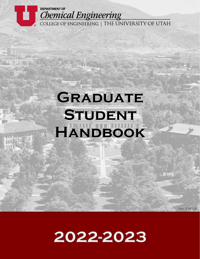

# **GRADUATE STUDENT HANDBOOK**

2022-2023

**Ver. 150728**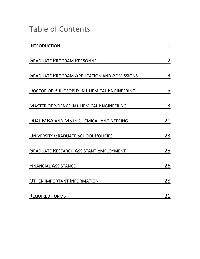# Table of Contents

| <b>INTRODUCTION</b>                                 |                |
|-----------------------------------------------------|----------------|
| <b>GRADUATE PROGRAM PERSONNEL</b>                   | $\overline{2}$ |
| <b>GRADUATE PROGRAM APPLICATION AND ADMISSIONS</b>  | 3              |
| <b>DOCTOR OF PHILOSOPHY IN CHEMICAL ENGINEERING</b> | 5              |
| <b>MASTER OF SCIENCE IN CHEMICAL ENGINEERING</b>    | <u>13</u>      |
| DUAL MBA AND MS IN CHEMICAL ENGINEERING             | 21             |
| <b>UNIVERSITY GRADUATE SCHOOL POLICIES</b>          | 23             |
| <b>GRADUATE RESEARCH ASSISTANT EMPLOYMENT</b>       | 25             |
| <b>FINANCIAL ASSISTANCE</b>                         | 26             |
| <b>OTHER IMPORTANT INFORMATION</b>                  | 28             |
| <b>REQUIRED FORMS</b>                               | 31             |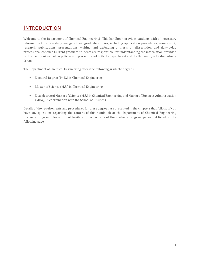### **INTRODUCTION**

Welcome to the Department of Chemical Engineering! This handbook provides students with all necessary information to successfully navigate their graduate studies, including application procedures, coursework, research, publications, presentations, writing and defending a thesis or dissertation and day-to-day professional conduct. Current graduate students are responsible for understanding the information provided in this handbook as well as policies and procedures of both the department and the University of Utah Graduate School.

The Department of Chemical Engineering offers the following graduate degrees:

- Doctoral Degree (Ph.D.) in Chemical Engineering
- Master of Science (M.S.) in Chemical Engineering
- Dual degree of Master of Science (M.S.) in Chemical Engineering and Master of Business Administration (MBA), in coordination with the School of Business

Details of the requirements and procedures for these degrees are presented in the chapters that follow. If you have any questions regarding the content of this handbook or the Department of Chemical Engineering Graduate Program, please do not hesitate to contact any of the graduate program personnel listed on the following page.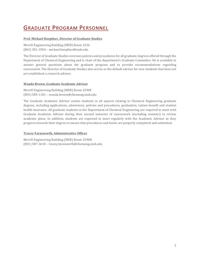# GRADUATE PROGRAM PERSONNEL

### **Prof. Michael Hoepfner, Director of Graduate Studies**

Merrill Engineering Building (MEB) Room 3226 (801) 581-3504 – michael.hoepfner@utah.edu

The Director of Graduate Studies oversees policies and procedures for all graduate degrees offered through the Department of Chemical Engineering and is chair of the department's Graduate Committee. He is available to answer general questions about the graduate program and to provide recommendations regarding coursework. The Director of Graduate Studies also serves as the default advisor for new students that have not yet established a research advisor.

### **Wanda Brown, Graduate Academic Advisor**

Merrill Engineering Building (MEB) Room 3290F (801) 585-1181 – wanda.brown@chemeng.utah.edu

The Graduate Academic Advisor assists students in all aspects relating to Chemical Engineering graduate degrees, including applications, admissions, policies and procedures, graduation, tuition benefit and student health insurance. All graduate students in the Department of Chemical Engineering are required to meet with Graduate Academic Advisor during their second semester of coursework (excluding summer) to review academic plans. In addition, students are expected to meet regularly with the Academic Advisor as they progress towards their degree to ensure that procedures and forms are properly completed and submitted.

### **Tracey Farnsworth, Administrative Officer**

Merrill Engineering Building (MEB) Room 3290B (801) 587-3610 – tracey.farsnworth@chemeng.utah.edu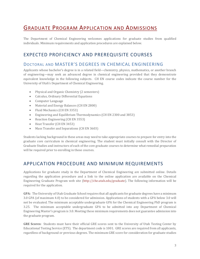# GRADUATE PROGRAM APPLICATION AND ADMISSIONS

The Department of Chemical Engineering welcomes applications for graduate studies from qualified individuals. Minimum requirements and application procedures are explained below.

### EXPECTED PROFICIENCY AND PREREQUISITE COURSES

### DOCTORAL AND MASTER'S DEGREES IN CHEMICAL ENGINEERING

Applicants whose bachelor's degree is in a related field—chemistry, physics, mathematics, or another branch of engineering—may seek an advanced degree in chemical engineering provided that they demonstrate equivalent knowledge in the following subjects. CH EN course codes indicate the course number for the University of Utah's Department of Chemical Engineering.

- Physical and Organic Chemistry (2 semesters)
- Calculus, Ordinary Differential Equations
- Computer Language
- Material and Energy Balances (CH EN 2800)
- Fluid Mechanics (CH EN 3353)
- Engineering and Equilibrium Thermodynamics (CH EN 2300 and 3853)
- Reaction Engineering (CH EN 3553)
- Heat Transfer (CH EN 3453)
- Mass Transfer and Separations (CH EN 3603)

Students lacking background in these areas may need to take appropriate courses to prepare for entry into the graduate core curriculum in chemical engineering. The student must initially consult with the Director of Graduate Studies and instructors of each of the core graduate courses to determine what remedial preparation will be required prior to enrolling in those courses.

### APPLICATION PROCEDURE AND MINIMUM REQUIREMENTS

Applications for graduate study in the Department of Chemical Engineering are submitted online. Details regarding the application procedure and a link to the online application are available on the Chemical Engineering Graduate Program web site (http://che.utah.edu/graduate). The following information will be required for the application.

**GPA:** The University of Utah Graduate School requires that all applicants for graduate degrees have a minimum 3.0 GPA (of maximum 4.0) to be considered for admission. Applications of students with a GPA below 3.0 will not be evaluated. The minimum acceptable undergraduate GPA for the Chemical Engineering PhD program is 3.25. The minimum acceptable undergraduate GPA to be admitted into any Department of Chemical Engineering Master's program is 3.0. Meeting these minimum requirements does not guarantee admission into the graduate program.

**GRE Scores:** Students must have their official GRE scores sent to the University of Utah Testing Center by Educational Testing Service (ETS). The department code is 1001. GRE scores are required from all applicants, regardless of background or previous degrees. The minimum GRE score for consideration for graduate studies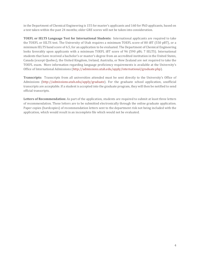in the Department of Chemical Engineering is 155 for master's applicants and 160 for PhD applicants, based on a test taken within the past 24 months; older GRE scores will not be taken into consideration.

**TOEFL or IELTS Language Test for International Students:** International applicants are required to take the TOEFL or IELTS test. The University of Utah requires a minimum TOEFL score of 80 iBT (550 pBT), or a minimum IELTS band score of 6.5, for an application to be evaluated. The Department of Chemical Engineering looks favorably upon applicants with a minimum TOEFL iBT score of 96 (590 pBt; 7 IELTS). International students that have received a bachelor's or master's degree from an accredited institution in the United States, Canada (except Quebec), the United Kingdom, Ireland, Australia, or New Zealand are not required to take the TOEFL exam. More information regarding language proficiency requirements is available at the University's Office of International Admissions (http://admissions.utah.edu/apply/international/graduate.php).

**Transcripts:** Transcripts from all universities attended must be sent directly to the University's Office of Admissions (http://admissions.utah.edu/apply/graduate). For the graduate school application, unofficial transcripts are acceptable. If a student is accepted into the graduate program, they will then be notified to send official transcripts.

**Letters of Recommendation:** As part of the application, students are required to submit at least three letters of recommendation. These letters are to be submitted electronically through the online graduate application. Paper copies (hardcopies) of recommendation letters sent to the department risk not being included with the application, which would result in an incomplete file which would not be evaluated.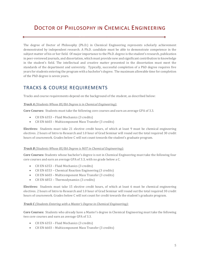# DOCTOR OF PHILOSOPHY IN CHEMICAL ENGINEERING

The degree of Doctor of Philosophy (Ph.D.) in Chemical Engineering represents scholarly achievement demonstrated by independent research. A Ph.D. candidate must be able to demonstrate competence in the subject matter of his or her field. Of major importance to the Ph.D. degree is the student's research, publication in peer-reviewed journals, and dissertation, which must provide new and significant contribution to knowledge in the student's field. The intellectual and creative matter presented in the dissertation must meet the standards of the department and university. Typically, successful completion of a PhD degree requires five years for students entering the program with a bachelor's degree. The maximum allowable time for completion of the PhD degree is seven years.

### TRACKS & COURSE REQUIREMENTS

Tracks and course requirements depend on the background of the student, as described below:

#### *Track A (Students Whose BS/BA Degree is in Chemical Engineering):*

**Core Courses:** Students must take the following core courses and earn an average GPA of 3.3.

- CH EN 6353 Fluid Mechanics (3 credits)
- CH EN 6603 Multicomponent Mass Transfer (3 credits)

**Electives:** Students must take 21 elective credit hours, of which at least 9 must be chemical engineering electives. 2 hours of Intro to Research and 1.0 hour of Grad Seminar will round out the total required 30 credit hours of coursework. Grades below C will not count towards the student's graduate program.

#### *Track B (Students Whose BS/BA Degree is NOT in Chemical Engineering):*

**Core Courses:** Students whose bachelor's degree is not in Chemical Engineering must take the following four core courses and earn an average GPA of 3.3, with no grade below a C.

- CH EN 6353 Fluid Mechanics (3 credits)
- CH EN 6553 Chemical Reaction Engineering (3 credits)
- CH EN 6603 Multicomponent Mass Transfer (3 credits)
- CH EN 6853 Thermodynamics (3 credits)

**Electives:** Students must take 15 elective credit hours, of which at least 6 must be chemical engineering electives. 2 hours of Intro to Research and 1.0 hour of Grad Seminar will round out the total required 30 credit hours of coursework. Grades below C will not count for credit towards the student's graduate program.

#### *Track C (Students Entering with a Master's Degree in Chemical Engineering):*

**Core Courses:** Students who already have a Master's degree in Chemical Engineering must take the following two core courses and earn an average GPA of 3.3.

- CH EN 6353 Fluid Mechanics (3 credits)
- CH EN 6603 Multicomponent Mass Transfer (3 credits)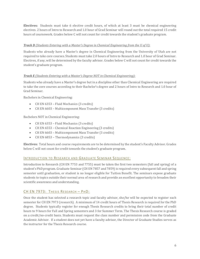**Electives:** Students must take 6 elective credit hours, of which at least 3 must be chemical engineering electives. 2 hours of Intro to Research and 1.0 hour of Grad Seminar will round out the total required 15 credit hours of coursework. Grades below C will not count for credit towards the student's graduate program.

### *Track D (Students Entering with a Master's Degree in Chemical Engineering from the U of U):*

Students who already have a Master's degree in Chemical Engineering from the University of Utah are not required to take core courses. Students must take 2.0 hours of Intro to Research and 1.0 hour of Grad Seminar. Electives, if any, will be determined by the faculty advisor. Grades below C will not count for credit towards the student's graduate program.

### *Track E (Students Entering with a Master's Degree NOT in Chemical Engineering):*

Students who already have a Master's degree but in a discipline other than Chemical Engineering are required to take the core courses according to their Bachelor's degree and 2 hours of Intro to Research and 1.0 hour of Grad Seminar.

Bachelors in Chemical Engineering:

- CH EN 6353 Fluid Mechanics (3 credits)
- CH EN 6603 Multicomponent Mass Transfer (3 credits)

Bachelors NOT in Chemical Engineering:

- CH EN 6353 Fluid Mechanics (3 credits)
- CH EN 6553 Chemical Reaction Engineering (3 credits)
- CH EN 6603 Multicomponent Mass Transfer (3 credits)
- CH EN 6853 Thermodynamics (3 credits)

**Electives:** Total hours and course requirements are to be determined by the student's Faculty Advisor. Grades below C will not count for credit towards the student's graduate program.

### INTRODUCTION TO RESEARCH AND GRADUATE SEMINAR SEQUENCE:

Introduction to Research (CH EN 7753 and 7755) must be taken the first two semesters (fall and spring) of a student's PhD program. Graduate Seminar (CH EN 7857 and 7859) is required every subsequent fall and spring semester until graduation, or student is no longer eligible for Tuition Benefit. The seminars expose graduate students to topics outside their normal area of research and provide an excellent opportunity to broaden their scientific awareness and understanding.

### CH EN 7973: THESIS RESEARCH – PHD:

Once the student has selected a research topic and faculty advisor, she/he will be expected to register each semester for CH EN 7973 (research). A minimum of 14 credit hours of Thesis Research is required for the PhD degree. Students typically register for enough Thesis Research credits to bring their total number of credit hours to 9 hours for Fall and Spring semesters and 3 for Summer Term. The Thesis Research course is graded on a credit/no-credit basis. Students must request the class number and permission code from the Graduate Academic Advisor. If a student does not yet have a faculty advisor, the Director of Graduate Studies serves as the instructor for the Thesis Research course.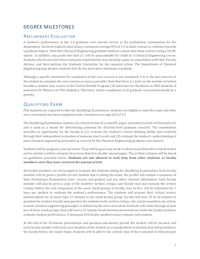### DEGREE MILESTONES

### PRELIMINARY EVALUATION

A student's performance in the 2-4 graduate core courses serves as the preliminary examination for the department. Doctoral students must attain a minimum average GPA of 3.3 in these courses to continue towards a graduate degree. Note that Chemical Engineering graduate students cannot take these courses using a CR/NC option. In addition, any grade less than a C will be unacceptable for credit in a Chemical Engineering course. Students who do not meet these minimum requirements must develop a plan, in consultation with their Faculty Advisor, and then petition the Graduate Committee for the required action. The Department of Chemical Engineering may dismiss students that do not meet these minimum standards.

Although a specific timeframe for completion of the core courses is not mandated, it is in the best interest of the student to complete the core courses as soon as possible. Note that there is a limit on the number of tuition benefits a student may receive in the Tuition Benefit Program (10 semesters for Bachelors-to-PhD students; 8 semesters for Masters-to-PhD students). Therefore, timely completion of all graduate coursework should be a priority.

### QUALIFYING EXAM

PhD students are required to take the Qualifying Examination, students are eligible to take the exam only after core coursework has been completed with a minimum average GPA of 3.3.

The Qualifying Examination consists of a critical review of a scientific paper, presented in both written and oral, and is used as a means for determining potential for doctoral-level graduate research. The examination provides an opportunity for the faculty to (1) evaluate the student's critical thinking ability and creativity through their independent evaluation of someone else's work, and (2) evaluate the student's understanding of basic chemical engineering principles as covered by the Chemical Engineering graduate core courses.

Students will be assigned a journal article. They will be given one week in which to perform their critical review and to submit a written synopsis of no more than five, double-spaced pages. The written critiques will be based on guidelines provided below. **Students are not allowed to seek help from other students or faculty members once they have received the journal article.** 

All faculty members are encouraged to evaluate the students taking the Qualifying Examination. Each faculty member will be given a profile of each student that is taking the exam; the profile will contain a summary of their Preliminary Examination (core courses and grades) and any other relevant information. Each faculty member will also be given a copy of the student's written critique and should read and evaluate the written critique before the oral component of the exam. Small groups of faculty, four to five, will be scheduled for 1 hour per student to evaluate the student's performance. The students will present their critical review, uninterrupted, for no more than 15 minutes to the small faculty group. Faculty will have 25 to 30 minutes to question the student. Faculty may question the student on the written critique, the oral presentation, the article, or basic chemical engineering principles as defined by the core curriculum. Students will rotate through at least two of these small groups; they will have a 15-minute break between presentations while the faculty members evaluate student performance. A minimum of 8 faculty members must evaluate each student.

At the end of the 45-minute presentation and question-and-answer period, the student will be excused, and each faculty member will write an evaluation of the student on a standardized evaluation that will provided to the faculty before the exams begin. Students will be able to see a blank copy of the evaluation to help prepare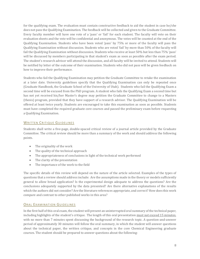for the qualifying exam. The evaluation must contain constructive feedback to aid the student in case he/she does not pass the Qualifying Examination. The feedback will be collected and given to the Graduate Committee. Every faculty member will have one vote of a 'pass' or 'fail' for each student. The faculty will vote on their evaluation sheets and the vote will be confidential and anonymous. The votes will be counted at the end of the Qualifying Examination. Students who have been voted 'pass' by 75% or more of the faculty will pass the Qualifying Examination without discussion. Students who are voted 'fail' by more than 50% of the faculty will fail the Qualifying Examination without discussion. Students who receive at least 50% but less than 75% 'pass' will be discussed by members participating in that student's exam as soon as possible after the exam period. The student's research advisor will attend the discussion, and all faculty will be invited to attend. Students will be notified by letter of the outcome of their examination. Students who did not pass will be given feedback on how to improve their performance.

Students who fail the Qualifying Examination may petition the Graduate Committee to retake the examination at a later date. University guidelines specify that the Qualifying Examination can only be repeated once (Graduate Handbook, the Graduate School of the University of Utah). Students who fail the Qualifying Exam a second time will be excused from the PhD program. A student who fails the Qualifying Exam a second time but has not yet received his/her Master's degree may petition the Graduate Committee to change to a Masters (thesis) program, provided that they have support of a research advisor. The Qualifying Examination will be offered at least twice yearly. Students are encouraged to take this examination as soon as possible. Students must have completed the required graduate core courses and passed the preliminary exam before requesting a Qualifying Examination.

### WRITTEN CRITIQUE GUIDELINES

Students shall write a five-page, double-spaced critical review of a journal article provided by the Graduate Committee. The critical review should be more than a summary of the work and should address the following points.

- The originality of the work
- The quality of the technical approach
- The appropriateness of conclusions in light of the technical work performed
- The clarity of the presentation
- The importance of the work to the field

The specific details of this review will depend on the nature of the article selected. Examples of the types of questions that a review should address include: Are the assumptions made in the theory or models sufficiently general to allow broad application? Is the experimental design adequate to address the questions? Are the conclusions adequately supported by the data presented? Are there alternative explanations of the results which the authors did not consider? Are the literature references appropriate, and correct? How does this work compare and contrast to other published works in this area?

### **ORAL EXAMINATION GUIDELINES**

In the first half of this oral exam, the student will present an uninterrupted oral summary of the technical paper, including highlights of the student's critique. The length of this oral presentation must not exceed 15 minutes, with no more than 7 minutes spent discussing the background of the research topic. A question-and-answer period of approximately 30 minutes will follow the oral summary, in which the student will answer questions about the technical paper, the written critique, and concepts in the core Chemical Engineering graduate courses. The student should be prepared to answer questions about the following: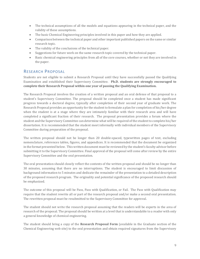- The technical assumptions of all the models and equations appearing in the technical paper, and the validity of these assumptions.
- The basic Chemical Engineering principles involved in this paper and how they are applied.
- Comparison between the technical paper and other important published papers on the same or similar research topic.
- The validity of the conclusions of the technical paper.
- Suggestions for future work on the same research topic covered by the technical paper.
- Basic chemical engineering principles from all of the core courses, whether or not they are involved in the paper.

### RESEARCH PROPOSAL

Students are not eligible to submit a Research Proposal until they have successfully passed the Qualifying Examination and established their Supervisory Committee. **Ph.D. students are strongly encouraged to complete their Research Proposal within one year of passing the Qualifying Examination.**

The Research Proposal involves the creation of a written proposal and an oral defense of that proposal to a student's Supervisory Committee. The proposal should be completed once a student has made significant progress towards a doctoral degree, typically after completion of their second year of graduate work. The Research Proposal provides an opportunity for the student to formulate a plan for completion of his/her degree when the student is at a stage where they are intimately familiar with their research area and will have completed a significant fraction of their research. The proposal presentation provides a forum where the student and the Supervisory Committee can determine what will be required of the student to complete his/her dissertation. It is recommended that the student meet informally with individual members of the Supervisory Committee during preparation of the proposal.

The written proposal should not be longer than 20 double-spaced, typewritten pages of text, excluding nomenclature, references tables, figures, and appendices. It is recommended that the document be organized in the format presented below. This written document must be reviewed by the student's faculty advisor before submitting it to the Supervisory Committee. Final approval of the proposal will come after review by the entire Supervisory Committee and the oral presentation.

The oral presentation should closely reflect the contents of the written proposal and should be no longer than 30 minutes, assuming that there are no interruptions. The student is encouraged to limit discussion of background information to 5 minutes and dedicate the remainder of the presentation to a detailed description of the proposed research program. The originality and potential significance of the proposed research should be emphasized.

The outcome of this proposal will be Pass, Pass with Qualification, or Fail. The Pass with Qualification may require that the student rewrite all or part of the research proposal and/or make a second oral presentation. The rewritten proposal must be resubmitted to the Supervisory Committee for approval.

The student should not write the research proposal assuming that the readers will be experts in the area of research of the proposal. The proposal should be written at a level that is understandable to a reader with only a general knowledge of chemical engineering.

The student should bring a copy of the **Research Proposal Form** (available in the Graduate section of the Chemical Engineering web site) to the oral presentation and obtain required signatures from the Supervisory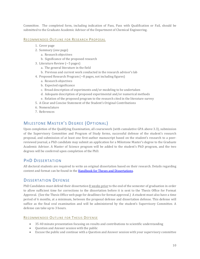Committee. The completed form, including indication of Pass, Pass with Qualification or Fail, should be submitted to the Graduate Academic Advisor of the Department of Chemical Engineering.

### RECOMMENDED OUTLINE FOR RESEARCH PROPOSAL

- 1. Cover page
- 2. Summary (one page)
	- a. Research objectives
	- b. Significance of the proposed research
- 3. Literature Review (~5 pages)
	- a. The general literature in the field
	- b. Previous and current work conducted in the research advisor's lab
- 4. Proposed Research Program (~8 pages, not including figures)
	- a. Research objectives
	- b. Expected significance
	- c. Broad description of experiments and/or modeling to be undertaken
	- d. Adequate description of proposed experimental and/or numerical methods
	- e. Relation of the proposed program to the research cited in the literature survey
- 5. A Clear and Concise Statement of the Student's Original Contributions
- 6. Nomenclature
- 7. References

### <span id="page-11-0"></span>MILESTONE MASTER'S DEGREE (OPTIONAL)

Upon completion of the Qualifying Examination, all coursework (with cumulative GPA above 3.3), submission of the Supervisory Committee and Program of Study forms, successful defense of the student's research proposal, and submission of at least one first-author manuscript based on the student's research to a peerreviewed journal, a PhD candidate may submit an application for a Milestone Master's degree to the Graduate Academic Advisor. A Master of Science program will be added to the student's PhD program, and the two degrees will be conferred upon completion of the PhD.

### PHD DISSERTATION

All doctoral students are required to write an original dissertation based on their research. Details regarding content and format can be found in th[e Handbook for Theses and Dissertations.](http://documents.gradschool.utah.edu/thesis-handbook) 

### DISSERTATION DEFENSE

PhD Candidates must defend their dissertation 8 weeks prior to the end of the semester of graduation in order to allow sufficient time for corrections to the dissertation before it is sent to the Thesis Office for Format Approval. (See the Thesis Office web page for deadlines for format approval.) A student must also have a time period of 6 months, at a minimum, between the proposal defense and dissertation defense. This defense will suffice as the final oral examination and will be administered by the student's Supervisory Committee. A defense can take up to 3 hours.

### RECOMMENDED OUTLINE FOR THESIS DEFENSE

- 35-40 minute presentation focusing on results and contributions to scientific understanding
- Question and Answer session with the public
- Excuse the public and continue with a Question and Answer session with your supervisory committee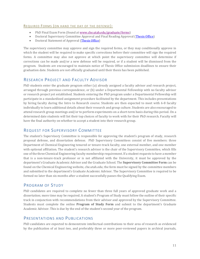### REQUIRED FORMS (ON HAND THE DAY OF THE DEFENSE):

- PhD Final Exam Form (found a[t www.che.utah.edu/graduate/forms\)](http://www.che.utah.edu/graduate/forms)
- Doctoral Supervisory Committee Approval and Final Reading Approval [\(Thesis Office\)](http://gradschool.utah.edu/thesis/forms/)
- Doctoral Statement of Approval [\(Thesis Office\)](http://gradschool.utah.edu/thesis/forms/)

The supervisory committee may approve and sign the required forms, or they may conditionally approve in which the student will be required to make specific corrections before their committee will sign the required forms. A committee may also not approve at which point the supervisory committee will determine if corrections can be made and/or a new defense will be required, or if a student will be dismissed from the program. Students are encouraged to maintain notice of Thesis Office submission deadlines to ensure their graduation date. Students are not officially graduated until their thesis has been published.

### RESEARCH PROJECT AND FACULTY ADVISOR

PhD students enter the graduate program either (a) already assigned a faculty advisor and research project, arranged through previous correspondence, or (b) under a Departmental Fellowship with no faculty advisor or research project yet established. Students entering the PhD program under a Departmental Fellowship will participate in a standardized assignment procedure facilitated by the department. This includes presentations by hiring faculty during the Intro to Research course. Students are then expected to meet with 6-8 faculty individually to learn additional details about their research and group culture. Students are also encouraged to attend research group meetings and/or to perform experiments on a short-term basis during this period. On a determined date students will list their top choices of faculty to work with for their PhD research. Faculty will have the final authority on whether to accept a student into their research group.

### REQUEST FOR SUPERVISORY COMMITTEE

The student's Supervisory Committee is responsible for approving the student's program of study, research proposal defense, and dissertation defense. PhD Supervisory Committees consist of five members: three Department of Chemical Engineering tenured or tenure-track faculty, one external member, and one member with optional affiliation. The student's research advisor is the chair of the Supervisory Committee, which fills one of the three Chemical Engineering faculty membership requirement. If a student requests to have a member that is a non-tenure-track professor or is not affiliated with the University, it must be approved by the department's Graduate Academic Advisor and the Graduate School. The **Supervisory Committee Form** can be found on the Chemical Engineering website, che.utah.edu; the form must be signed by the committee members and submitted to the department's Graduate Academic Advisor. The Supervisory Committee is required to be formed no later than six months after a student successfully passes the Qualifying Exam.

### PROGRAM OF STUDY

PhD candidates are required to complete no fewer than three full years of approved graduate work and a dissertation; more time may be required. A student's Program of Study must follow the outline of their specific track in conjunction with recommendations from their advisor and approved by the Supervisory Committee. Students must complete the online **Program of Study Form** and submit to the department's Graduate Academic Advisor. This is due by the end of the student's second year of the program.

### PRESENTATIONS AND PUBLICATIONS

PhD candidates are expected to demonstrate intellectual contributions to their area of research as evidenced by the publication of *at least two*, and preferably three or more peer-reviewed papers in archival journals,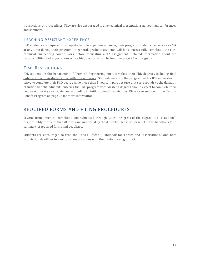transactions, or proceedings. They are also encouraged to give technical presentations at meetings, conferences and seminars.

### TEACHING ASSISTANT EXPERIENCE

PhD students are required to complete two TA experiences during their program. Students can serve as a TA at any time during their program. In general, graduate students will have successfully completed the core chemical engineering course work before requesting a TA assignment. Detailed information about the responsibilities and expectations of teaching assistants can be found on pag[e 25](#page-26-0) of this guide.

### TIME RESTRICTIONS

PhD students in the Department of Chemical Engineering must complete their PhD degrees, including final publication of their dissertation, within seven years. Students entering the program with a BS degree should strive to complete their PhD degree in no more than 5 years, in part because that corresponds to the duration of tuition benefit. Students entering the PhD program with Master's degrees should expect to complete their degree within 4 years, again corresponding to tuition benefit restrictions. Please see section on the Tuition Benefit Program on page [26](#page-27-0) for more information.

### REQUIRED FORMS AND FILING PROCEDURES

Several forms must be completed and submitted throughout the progress of the degree. It is a student's responsibility to ensure that all forms are submitted by the due date. Please see pag[e 31](#page-32-0) of this handbook for a summary of required forms and deadlines.

Students are encouraged to read the Thesis Office's "Handbook for Theses and Dissertations," and note submission deadlines to avoid any complications with their anticipated graduation.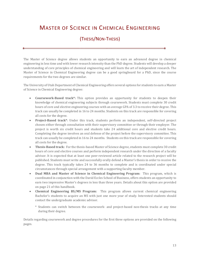# MASTER OF SCIENCE IN CHEMICAL ENGINEERING

### (THESIS/NON-THESIS)

The Master of Science degree allows students an opportunity to earn an advanced degree in chemical engineering in less time and with lower research intensity than the PhD degree. Students will develop a deeper understanding of core principles of chemical engineering and will learn the art of independent research. The Master of Science in Chemical Engineering degree can be a good springboard for a PhD, since the course requirements for the two degrees are similar.

The University of Utah Department of Chemical Engineering offers several options for students to earn a Master of Science in Chemical Engineering degree:

- **Coursework-Based track\*:** This option provides an opportunity for students to deepen their knowledge of chemical engineering subjects through coursework. Students must complete 30 credit hours of core and elective engineering courses with an average GPA of 3.3 to receive their degree. This track can usually be completed in 16 to 24 months. Students on this track are responsible for covering all costs for the degree.
- **Project-Based track\***: Under this track, students perform an independent, self-directed project chosen either through consultation with their supervisory committee or through their employer. The project is worth six credit hours and students take 24 additional core and elective credit hours. Completing the degree involves an oral defense of the project before the supervisory committee. This track can usually be completed in 16 to 24 months. Students on this track are responsible for covering all costs for the degree.
- **Thesis-Based track:** For the thesis-based Master of Science degree, students must complete 30 credit hours of core and elective courses and perform independent research under the direction of a faculty advisor. It is expected that at least one peer-reviewed article related to the research project will be published. Students must write and successfully orally defend a Master's thesis in order to receive the degree. This track typically takes 24 to 36 months to complete and is coordinated under special circumstances through special arrangement with a supporting faculty member.
- **Dual MBA and Master of Science in Chemical Engineering Program:** This program, which is coordinated in conjunction with the David Eccles School of Business, offers students an opportunity to earn two impressive Master's degrees in less than three years. Details about this option are provided on pag[e 21](#page-22-0) of this handbook.
- **Chemical Engineering BS/MS Program:** This program allows current chemical engineering Bachelor's students to acquire an MS with just one more year of study. Interested students should contact the undergraduate academic advisor.
	- \* Students can switch between the coursework- and project-based non-thesis tracks at any time during their degree.

Details regarding coursework and degree procedures for the first three options are provided on the following pages.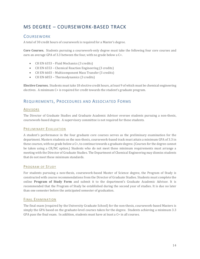### MS DEGREE – COURSEWORK-BASED TRACK

### **COURSEWORK**

A total of 30 credit hours of coursework is required for a Master's degree.

**Core Courses.** Students pursuing a coursework-only degree must take the following four core courses and earn an average GPA of 3.3 between the four, with no grade below a C+.

- CH EN 6353 Fluid Mechanics (3 credits)
- CH EN 6553 Chemical Reaction Engineering (3 credits)
- CH EN 6603 Multicomponent Mass Transfer (3 credits)
- CH EN 6853 Thermodynamics (3 credits)

**Elective Courses.** Students must take 18 elective credit hours, at least 9 of which must be chemical engineering electives. A minimum C+ is required for credit towards the student's graduate program.

### REQUIREMENTS, PROCEDURES AND ASSOCIATED FORMS

#### ADVISORS

The Director of Graduate Studies and Graduate Academic Advisor oversee students pursuing a non-thesis, coursework-based degree. A supervisory committee is not required for these students.

#### PRELIMINARY EVALUATION

A student's performance in the four graduate core courses serves as the preliminary examination for the department. Masters students on the non-thesis, coursework-based track must attain a minimum GPA of 3.3 in these courses, with no grade below a C+, to continue towards a graduate degree. (Courses for the degree cannot be taken using a CR/NC option.) Students who do not meet these minimum requirements must arrange a meeting with the Director of Graduate Studies. The Department of Chemical Engineering may dismiss students that do not meet these minimum standards.

#### PROGRAM OF STUDY

For students pursuing a non-thesis, coursework-based Master of Science degree, the Program of Study is constructed with course recommendations from the Director of Graduate Studies. Students must complete the online **Program of Study Form** and submit it to the department's Graduate Academic Advisor. It is recommended that the Program of Study be established during the second year of studies. It is due no later than one semester before the anticipated semester of graduation.

### FINAL EXAMINATION

The final exam (required by the University Graduate School) for the non-thesis, coursework-based Masters is simply the GPA based on the graduate-level courses taken for the degree. Students achieving a minimum 3.3 GPA pass the final exam. In addition, students must have at least a C+ in all courses.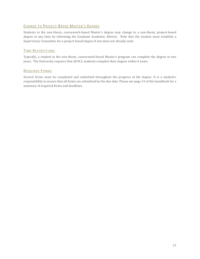### CHANGE TO PROJECT-BASED MASTER'S DEGREE

Students in the non-thesis, coursework-based Master's degree may change to a non-thesis, project-based degree at any time by informing the Graduate Academic Advisor. Note that the student must establish a Supervisory Committee for a project-based degree if one does not already exist.

### TIME RESTRICTIONS

Typically, a student in the non-thesis, coursework-based Master's program can complete the degree in two years. The University requires that all M.S. students complete their degree within 4 years.

### REQUIRED FORMS

Several forms must be completed and submitted throughout the progress of the degree. It is a student's responsibility to ensure that all forms are submitted by the due date. Please see pag[e 31](#page-32-0) of this handbook for a summary of required forms and deadlines.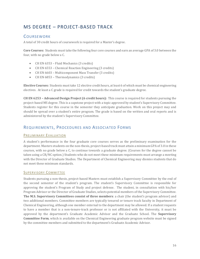### MS DEGREE – PROJECT-BASED TRACK

### **COURSEWORK**

A total of 30 credit hours of coursework is required for a Master's degree.

**Core Courses:** Students must take the following four core courses and earn an average GPA of 3.0 between the four, with no grade below a C.

- CH EN 6353 Fluid Mechanics (3 credits)
- CH EN 6553 Chemical Reaction Engineering (3 credits)
- CH EN 6603 Multicomponent Mass Transfer (3 credits)
- CH EN 6853 Thermodynamics (3 credits)

**Elective Courses:** Students must take 12 elective credit hours, at least 6 of which must be chemical engineering electives. At least a C grade is required for credit towards the student's graduate degree.

**CH EN 6253 – Advanced Design Project (6 credit hours):** This course is required for students pursuing the project-based MS degree. This is a capstone project with a topic approved by student's Supervisory Committee. Students register for this course in the semester they anticipate graduation. Work on this project may and should be spread over a student's entire program. The grade is based on the written and oral reports and is administered by the student's Supervisory Committee.

### REQUIREMENTS, PROCEDURES AND ASSOCIATED FORMS

### PRELIMINARY EVALUATION

A student's performance in the four graduate core courses serves as the preliminary examination for the department. Masters students on the non-thesis, project-based track must attain a minimum GPA of 3.0 in these courses, with no grade below a C, to continue towards a graduate degree. (Courses for the degree cannot be taken using a CR/NC option.) Students who do not meet these minimum requirements must arrange a meeting with the Director of Graduate Studies. The Department of Chemical Engineering may dismiss students that do not meet these minimum standards.

### SUPERVISORY COMMITTEE

Students pursuing a non-thesis, project-based Masters must establish a Supervisory Committee by the end of the second semester of the student's program. The student's Supervisory Committee is responsible for approving the student's Program of Study and project defense. The student, in consultation with his/her Program Advisor or the Director of Graduate Studies, selects potential members of the Supervisory Committee. **The M.S. Supervisory Committees consist of three members**: a chair (the student's program advisor) and two additional members. Committee members are typically tenured or tenure track faculty in Department of Chemical Engineering, although one member external to the department may be allowed. If a student requests to have a member that is a non-tenure-track professor or is not affiliated with the University, it must be approved by the department's Graduate Academic Advisor and the Graduate School. The **Supervisory Committee Form**, which is available on the Chemical Engineering graduate program website must be signed by the committee members and submitted to the department's Graduate Academic Advisor.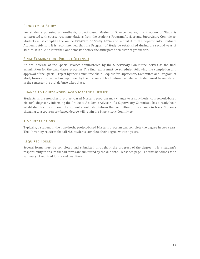### PROGRAM OF STUDY

For students pursuing a non-thesis, project-based Master of Science degree, the Program of Study is constructed with course recommendations from the student's Program Advisor and Supervisory Committee. Students must complete the online **Program of Study Form** and submit it to the department's Graduate Academic Advisor. It is recommended that the Program of Study be established during the second year of studies. It is due no later than one semester before the anticipated semester of graduation.

### FINAL EXAMINATION (PROJECT DEFENSE)

An oral defense of the Special Project, administered by the Supervisory Committee, serves as the final examination for the candidate's program. The final exam must be scheduled following the completion and approval of the Special Project by their committee chair. Request for Supervisory Committee and Program of Study forms must be filed and approved by the Graduate School before the defense. Student must be registered in the semester the oral defense takes place.

### CHANGE TO COURSEWORK-BASED MASTER'S DEGREE

Students in the non-thesis, project-based Master's program may change to a non-thesis, coursework-based Master's degree by informing the Graduate Academic Advisor. If a Supervisory Committee has already been established for the student, the student should also inform the committee of the change in track. Students changing to a coursework-based degree will retain the Supervisory Committee.

### TIME RESTRICTIONS

Typically, a student in the non-thesis, project-based Master's program can complete the degree in two years. The University requires that all M.S. students complete their degree within 4 years.

### REQUIRED FORMS

Several forms must be completed and submitted throughout the progress of the degree. It is a student's responsibility to ensure that all forms are submitted by the due date. Please see pag[e 31](#page-32-0) of this handbook for a summary of required forms and deadlines.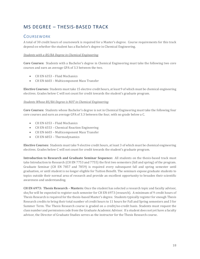### MS DEGREE – THESIS-BASED TRACK

### **COURSEWORK**

A total of 30 credit hours of coursework is required for a Master's degree. Course requirements for this track depend on whether the student has a Bachelor's degree in Chemical Engineering.

### *Students with a BS/BA Degree in Chemical Engineering*

**Core Courses:** Students with a Bachelor's degree in Chemical Engineering must take the following two core courses and earn an average GPA of 3.3 between the two.

- CH EN 6353 Fluid Mechanics
- CH EN 6603 Multicomponent Mass Transfer

**Elective Courses:** Students must take 15 elective credit hours, atleast 9 of which must be chemical engineering electives. Grades below C will not count for credit towards the student's graduate program.

### *Students Whose BS/BA Degree is NOT in Chemical Engineering*

**Core Courses:** Students whose Bachelor's degree is not in Chemical Engineering must take the following four core courses and earn an average GPA of 3.3 between the four, with no grade below a C.

- CH EN 6353 Fluid Mechanics
- CH EN 6553 Chemical Reaction Engineering
- CH EN 6603 Multicomponent Mass Transfer
- CH EN 6853 Thermodynamics

**Elective Courses:** Students must take 9 elective credit hours, at least 3 of which must be chemical engineering electives. Grades below C will not count for credit towards the student's graduate program.

**Introduction to Research and Graduate Seminar Sequence:** All students on the thesis-based track must take Introduction to Research (CH EN 7753 and 7755) the first two semesters (fall and spring) of the program. Graduate Seminar (CH EN 7857 and 7859) is required every subsequent fall and spring semester until graduation, or until student is no longer eligible for Tuition Benefit. The seminars expose graduate students to topics outside their normal area of research and provide an excellent opportunity to broaden their scientific awareness and understanding.

**CH EN 6973: Thesis Research – Masters:** Once the student has selected a research topic and faculty advisor, she/he will be expected to register each semester for CH EN 6973 (research). A minimum of 9 credit hours of Thesis Research is required for the thesis-based Master's degree. Students typically register for enough Thesis Research credits to bring their total number of credit hours to 11 hours for Fall and Spring semesters and 3 for Summer Term. The Thesis Research course is graded on a credit/no-credit basis. Students must request the class number and permission code from the Graduate Academic Advisor. If a student does not yet have a faculty advisor, the Director of Graduate Studies serves as the instructor for the Thesis Research course.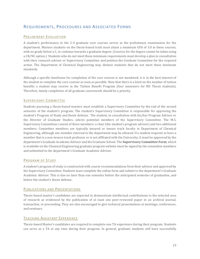### REQUIREMENTS, PROCEDURES AND ASSOCIATED FORMS

### PRELIMINARY EVALUATION

A student's performance in the 2-4 graduate core courses serves as the preliminary examination for the department. Masters students on the thesis-based track must attain a minimum GPA of 3.0 in these courses, with no grade below a C, to continue towards a graduate degree. (Courses for the degree cannot be taken using a CR/NC option.) Students who do not meet these minimum requirements must develop a plan in consultation with their research advisor or Supervisory Committee and petition the Graduate Committee for the required action. The Department of Chemical Engineering may dismiss students that do not meet these minimum standards.

Although a specific timeframe for completion of the core courses is not mandated, it is in the best interest of the student to complete the core courses as soon as possible. Note that there is a limit on the number of tuition benefits a student may receive in the Tuition Benefit Program (four semesters for MS Thesis students). Therefore, timely completion of all graduate coursework should be a priority.

### SUPERVISORY COMMITTEE

Students pursuing a thesis-based masters must establish a Supervisory Committee by the end of the second semester of the student's program. The student's Supervisory Committee is responsible for approving the student's Program of Study and thesis defense. The student, in consultation with his/her Program Advisor or the Director of Graduate Studies, selects potential members of the Supervisory Committee. The M.S. Supervisory Committees consist of three members: a chair (the student's program advisor) and two additional members. Committee members are typically tenured or tenure track faculty in Department of Chemical Engineering, although one member external to the department may be allowed. If a student requests to have a member that is a non-tenure-track professor or is not affiliated with the University, it must be approved by the department's Graduate Academic Advisor and the Graduate School. The **Supervisory Committee Form**, which is available on the Chemical Engineering graduate program website must be signed by the committee members and submitted to the department's Graduate Academic Advisor.

### PROGRAM OF STUDY

A student's program of study is constructed with course recommendations from their advisor and approved by the Supervisory Committee. Students must complete the online form and submit to the department's Graduate Academic Advisor. This is due no later than one semester before the anticipated semester of graduation, and before the student's thesis defense.

### PUBLICATIONS AND PRESENTATIONS

Thesis-based master's candidates are expected to demonstrate intellectual contributions to the selected area of research as evidenced by the publication of at least one peer-reviewed paper in an archival journal, transaction, or proceeding. They are also encouraged to give technical presentations at meetings, conferences, and seminars.

### TEACHING ASSISTANT EXPERIENCE

Thesis-based Master's candidates are required to complete one TA experience during their program. Students can serve as a TA at any time during their program. In general, graduate students will have successfully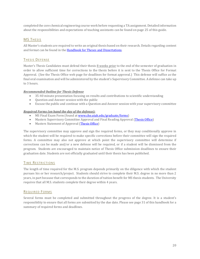completed the core chemical engineering course work before requesting a TA assignment. Detailed information about the responsibilities and expectations of teaching assistants can be found on page [25](#page-26-0) of this guide.

### MS THESIS

All Master's students are required to write an original thesis based on their research. Details regarding content and format can be found in the [Handbook for Theses and Dissertations.](http://documents.gradschool.utah.edu/thesis-handbook) 

### THESIS DEFENSE

Master's Thesis Candidates must defend their thesis 8 weeks prior to the end of the semester of graduation in order to allow sufficient time for corrections to the thesis before it is sent to the Thesis Office for Format Approval. (See the Thesis Office web page for deadlines for format approval.) This defense will suffice as the final oral examination and will be administered by the student's Supervisory Committee. A defense can take up to 3 hours.

#### *Recommended Outline for Thesis Defense*

- 35-40 minute presentation focusing on results and contributions to scientific understanding
- Question and Answer session with the public
- Excuse the public and continue with a Question and Answer session with your supervisory committee

#### *Required Forms (on hand the day of the defense):*

- MS Final Exam Form (found a[t www.che.utah.edu/graduate/forms\)](http://www.che.utah.edu/graduate/forms)
- Masters Supervisory Committee Approval and Final Reading Approval [\(Thesis Office\)](http://gradschool.utah.edu/thesis/forms/)
- Masters Statement of Approval [\(Thesis Office\)](http://gradschool.utah.edu/thesis/forms/)

The supervisory committee may approve and sign the required forms, or they may conditionally approve in which the student will be required to make specific corrections before their committee will sign the required forms. A committee may also not approve at which point the supervisory committee will determine if corrections can be made and/or a new defense will be required, or if a student will be dismissed from the program. Students are encouraged to maintain notice of Thesis Office submission deadlines to ensure their graduation date. Students are not officially graduated until their thesis has been published.

### TIME RESTRICTIONS

The length of time required for the M.S. program depends primarily on the diligence with which the student pursues his or her research/project. Students should strive to complete their M.S. degree in no more than 2 years, in part because that corresponds to the duration of tuition benefit for MS thesis students. The University requires that all M.S. students complete their degree within 4 years.

### REQUIRED FORMS

Several forms must be completed and submitted throughout the progress of the degree. It is a student's responsibility to ensure that all forms are submitted by the due date. Please see pag[e 31](#page-32-0) of this handbook for a summary of required forms and deadlines.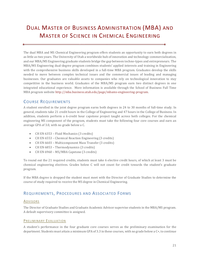# <span id="page-22-0"></span>DUAL MASTER OF BUSINESS ADMINISTRATION (MBA) AND MASTER OF SCIENCE IN CHEMICAL ENGINEERING

The dual MBA and MS Chemical Engineering program offers students an opportunity to earn both degrees in as little as two years. The University of Utah a worldwide hub of innovation and technology commercialization, and our MBA/MS Engineering graduate students bridge the gap between techno-types and entrepreneurs. The MBA/MS Engineering dual-degree program combines students' applied interests and training in Engineering with the comprehensive business skills developed in a full-time MBA program. Graduates develop the skills needed to move between complex technical issues and the commercial issues of leading and managing businesses. Our graduates are valuable assets to companies who rely on technological innovation to stay competitive in the business world. Graduates of the MBA/MS program earn two distinct degrees in one integrated educational experience. More information is available through the School of Business Full Time MBA program website [http://mba.business.utah.edu/page/mbams-engineering-program.](http://mba.business.utah.edu/page/mbams-engineering-program)

### COURSE REQUIREMENTS

A student enrolled in the joint degree program earns both degrees in 24 to 30 months of full-time study. In general, students take 21 credit hours in the College of Engineering and 47 hours in the College of Business. In addition, students perform a 6-credit hour capstone project taught across both colleges. For the chemical engineering MS component of the program, students must take the following four core courses and earn an average GPA of 3.0, with no grade below a C.

- CH EN 6353 Fluid Mechanics (3 credits)
- CH EN 6553 Chemical Reaction Engineering (3 credits)
- CH EN 6603 Multicomponent Mass Transfer (3 credits)
- CH EN 6853 Thermodynamics (3 credits)
- CH EN 6960 MS/MBA Capstone (3 credits)

To round out the 21 required credits, students must take 6 elective credit hours, of which at least 3 must be chemical engineering electives. Grades below C will not count for credit towards the student's graduate program.

If the MBA degree is dropped the student must meet with the Director of Graduate Studies to determine the course of study required to receive the MS degree in Chemical Engineering.

### REQUIREMENTS, PROCEDURES AND ASSOCIATED FORMS

### **ADVISORS**

The Director of Graduate Studies and Graduate Academic Advisor supervise students in the MBA/MS program. A default supervisory committee is assigned.

### PRELIMINARY EVALUATION

A student's performance in the four graduate core courses serves as the preliminary examination for the department. Students must attain a minimum GPA of 3.3 in these courses, with no grade below a C+, to continue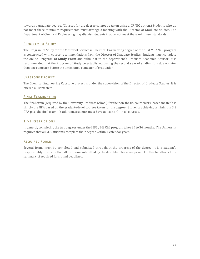towards a graduate degree. (Courses for the degree cannot be taken using a CR/NC option.) Students who do not meet these minimum requirements must arrange a meeting with the Director of Graduate Studies. The Department of Chemical Engineering may dismiss students that do not meet these minimum standards.

### PROGRAM OF STUDY

The Program of Study for the Master of Science in Chemical Engineering degree of the dual MBA/MS program is constructed with course recommendations from the Director of Graduate Studies. Students must complete the online **Program of Study Form** and submit it to the department's Graduate Academic Advisor. It is recommended that the Program of Study be established during the second year of studies. It is due no later than one semester before the anticipated semester of graduation.

### CAPSTONE PROJECT

The Chemical Engineering Capstone project is under the supervision of the Director of Graduate Studies. It is offered all semesters.

### FINAL EXAMINATION

The final exam (required by the University Graduate School) for the non-thesis, coursework-based master's is simply the GPA based on the graduate-level courses taken for the degree. Students achieving a minimum 3.3 GPA pass the final exam. In addition, students must have at least a C+ in all courses.

### TIME RESTRICTIONS

In general, completing the two degrees under the MBS / MS ChE program takes 24 to 36 months. The University requires that all M.S. students complete their degree within 4 calendar years.

### REQUIRED FORMS

Several forms must be completed and submitted throughout the progress of the degree. It is a student's responsibility to ensure that all forms are submitted by the due date. Please see pag[e 31](#page-32-0) of this handbook for a summary of required forms and deadlines.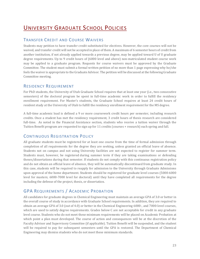# UNIVERSITY GRADUATE SCHOOL POLICIES

### TRANSFER CREDIT AND COURSE WAIVERS

Students may petition to have transfer credit substituted for electives. However, the core courses will not be waived, and transfer credit will not be accepted in place of them. A maximum of 6 semester hours of credit from another institution, if not already applied towards a previous degree, may be applied toward U of U graduate degree requirements. Up to 9 credit hours of (6000 level and above) non-matriculated student course work may be applied to a graduate program. Requests for course waivers must be approved by the Graduate Committee. The student must submit a formal written petition of no more than 1 page expressing why he/she feels the waiver is appropriate to the Graduate Advisor. The petition will be discussed at the following Graduate Committee meeting.

### RESIDENCY REQUIREMENT

For PhD students, the University of Utah Graduate School requires that at least one year (i.e., two consecutive semesters) of the doctoral program be spent in full-time academic work in order to fulfill the residency enrollment requirement. For Master's students, the Graduate School requires at least 24 credit hours of resident study at the University of Utah to fulfill the residency enrollment requirement for the MS degree.

A full-time academic load is defined a 9 or more coursework credit hours per semester, including research credits. Once a student has met the residency requirement, 3 credit hours of thesis research are considered full-time. As noted in the Financial Assistance section, students who receive a tuition waiver through the Tuition Benefit program are requested to sign up for 11 credits (courses + research) each spring and fall.

### CONTINUOUS REGISTRATION POLICY

All graduate students must be registered for at least one course from the time of formal admission through completion of all requirements for the degree they are seeking, unless granted an official leave of absence. Students not on campus and not using University facilities are not expected to register for summer term. Students must, however, be registered during summer term if they are taking examinations or defending theses/dissertations during that semester. If students do not comply with this continuous registration policy and do not obtain an official leave of absence, they will be automatically discontinued from graduate study. In this case, students will be required to reapply for admission to the University through Graduate Admissions upon approval of the home department. Students should be registered for graduate level courses (5000-6000 level for masters; 6000-7000 level for doctoral) until they have completed all requirements for the degree including the defense of the project, thesis, or dissertation.

### GPA REQUIREMENTS / ACADEMIC PROBATION

All candidates for graduate degrees in Chemical Engineering must maintain an average GPA of 3.0 or better in the overall course of study in accordance with Graduate School requirements. In addition, they are required to obtain an average GPA of 3.0 (out of 4.0) or better in the Chemical Engineering 6000-, and 7000-level courses, which are used to satisfy degree requirements. Grades below C are not acceptable for credit in any graduate level course. Students who do not meet these minimum requirements will be placed on Academic Probation at which point a plan must developed. The course of action and consequences will be at the discretion of the Faculty Advisor and Supervisory Committee (if applicable). Tuition Benefit will be suspended, and the student will be required to pay for subsequent semesters until the GPA is restored. The Department of Chemical Engineering may dismiss students who do not meet these minimum standards.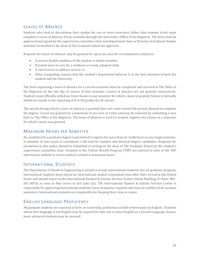### LEAVES OF ABSENCE

Students who wish to discontinue their studies for one or more semesters (other than summer term) must complete a Leave of Absence Form, available through the university's Office of the Registrar. The form must be approved and signed by the supervisory committee chair and department chair or Director of Graduate Studies and then forwarded to the dean of The Graduate School for approval.

Requests for leaves of absence may be granted for up to one year for circumstances related to:

- A serious health condition of the student or family member,
- Parental leave to care for a newborn or newly adopted child,
- A call to serve in military service, or
- Other compelling reasons that the student's department believes is in the best interests of both the student and the University.

The form requesting a leave of absence for a current semester must be completed and received in The Office of the Registrar by the last day of classes of that semester. Leaves of absence are not granted retroactively. Students must officially withdraw from classes in any semester for which a leave is granted; failure to formally withdraw results in the reporting of E or EU grades for all classes.

The period during which a leave of absence is granted does not count toward the period allowed to complete the degree. Leaves are granted for a maximum of one year at a time and may be renewed by submitting a new form to The Office of the Registrar. The leave of absence is void if a student registers for classes in a semester for which a leave was granted.

### MAXIMUM HOURS PER SEMESTER

No candidate for a graduate degree is permitted to register for more than 16 credit hours in any single semester. A schedule of nine hours is considered a full load for masters and doctoral degree candidates. Requests for exceptions to this policy should be submitted in writing to the dean of The Graduate School by the student's supervisory committee chair. Students in the Tuition Benefit Program (TBP) are advised to refer to the TBP information website to review policies related to maximum hours.

### INTERNATIONAL STUDENTS

The Department of Chemical Engineering is proud to accept international students into its graduate program. International students must attend an international student orientation soon after their arrival in the United States and should report to the International Student & Scholar Services Center (Union Building, 4th floor; 801-581-8876) as soon as they arrive in Salt Lake City. The International Student & Scholar Services Center is responsible for approving international students' leave of absence requests and must be notified of all vacation semesters. International students are responsible for keeping their visas in status.

### ENGLISH LANGUAGE PROFICIENCY

All graduate students are expected to have, or to develop, proficiency in both written and oral English. Students whose first language is not English may be required to take one or more English as a Second Language classes; more advanced students may be excused.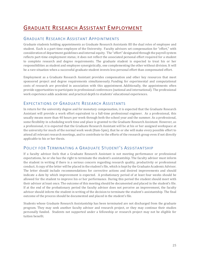# <span id="page-26-0"></span>GRADUATE RESEARCH ASSISTANT EMPLOYMENT

### GRADUATE RESEARCH ASSISTANT APPOINTMENTS

Graduate students holding appointments as Graduate Research Assistants fill the dual roles of employee and student. Each is a part-time employee of the University. Faculty advisors set compensation for "effort," with consideration of department guidelines and internal equity. The "effort" designated through the payroll system reflects part-time employment status; it does not reflect the associated personal effort required for a student to complete research and degree requirements. The graduate student is expected to treat his or her responsibilities as student and employee synergistically, one complementing the other without division. It will be a rare situation when a successful graduate student invests less personal effort than compensated effort.

Employment as a Graduate Research Assistant provides compensation and other key resources that meet sponsored project and degree requirements simultaneously. Funding for experimental and computational costs of research are provided in association with this appointment. Additionally, the appointments often provide opportunities to participate in professional conferences (national and international). The professional work experience adds academic and practical depth to students' educational experiences.

### EXPECTATIONS OF GRADUATE RESEARCH ASSISTANTS

In return for the university degree and for monetary compensation, it is expected that the Graduate Research Assistant will provide a work effort equivalent to a full-time professional engineer. As a professional, this usually means more than 40 hours per week through both the school year and the summer. As a professional, some flexibility in scheduling work time and place is granted to the Graduate Research Assistant. However, as a professional, it is expected that the Graduate Research Assistant will be at his or her assigned workspace at the university for much of the normal work week (8am-5pm), that he or she will make every possible effort to attend all relevant research meetings, and to contribute to the efforts of the research group even if not directly applicable to his or her thesis.

### POLICY FOR TERMINATING A GRADUATE STUDENT'S ASSISTANTSHIP

If a faculty advisor feels that a Graduate Research Assistant is not meeting performance or professional expectations, he or she has the right to terminate the student's assistantship. The faculty advisor must inform the student in writing if there is a serious concern regarding research quality, productivity or professional conduct. A copy of the letter will be placed in the student's file, which is kept by the Graduate Academic Advisor. The letter should include recommendations for corrective actions and desired improvements and should indicate a date by which improvement is expected. A probationary period of at least four weeks should be allowed for the student to improve his or her performance. During this period the student should meet with their advisor at least once. The outcome of this meeting should be documented and placed in the student's file. If at the end of the probationary period the faculty advisor does not perceive an improvement, the faculty advisor should inform the student in writing of the decision to terminate the student's assistantship. The final outcome of the process should be documented and placed in the student's file.

Students whose Graduate Research Assistantship has been terminated are not discharged from the graduate program. They may seek another faculty advisor and research project, or they may continue their studies personally funded. Students not supported under a fellowship or research project may not be eligible for tuition benefit.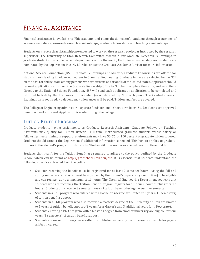# FINANCIAL ASSISTANCE

Financial assistance is available to PhD students and some thesis master's students through a number of avenues, including sponsored-research assistantships, graduate fellowships, and teaching assistantships.

Students on a research assistantship are expected to work on the research project as instructed by the research supervisor. The University of Utah Research Committee awards a few Graduate Research Fellowships to graduate students in all colleges and departments of the University that offer advanced degrees. Students are nominated by the department in early March; contact the Graduate Academic Advisor for more information.

National Science Foundation (NSF) Graduate Fellowships and Minority Graduate Fellowships are offered for study or work leading to advanced degrees in Chemical Engineering. Graduate fellows are selected by the NSF on the basis of ability, from among persons who are citizens or nationals of the United States. Applicants should request application cards from the Graduate Fellowship Office in October, complete the cards, and send them directly to the National Science Foundation. NSF will send each applicant an application to be completed and returned to NSF by the first week in December (exact date set by NSF each year). The Graduate Record Examination is required. No dependency allowances will be paid. Tuition and fees are covered.

The College of Engineering administers separate funds for small short-term loans. Student loans are approved based on merit and need. Application is made through the college.

### <span id="page-27-0"></span>TUITION BENEFIT PROGRAM

Graduate students having assignments as Graduate Research Assistants, Graduate Fellows or Teaching Assistants may qualify for Tuition Benefit. Full-time, matriculated graduate students whose salary or fellowship meets minimum support requirements may have 50, 75, or 100 percent of graduate tuition covered. Students should contact the department if additional information is needed. This benefit applies to graduate courses in the student's program of study only. The benefit does not cover special fees or differential tuition.

Students that qualify for the Tuition Benefit are required to adhere to the policy outlined by the Graduate School, which can be found at [http://gradschool.utah.edu/tbp.](http://gradschool.utah.edu/tbp) It is essential that students understand the following specifics extracted from the policy:

- Students receiving the benefit must be registered for at least 9 semester hours during the fall and spring semesters (all classes must be approved by the student's Supervisory Committee) to be eligible and can register up to a maximum of 11 hours. The Chemical Engineering Department requests that students who are receiving the Tuition Benefit Program register for 11 hours (courses plus research hours). Students only receive 3 semester hours of tuition benefit during the summer semester.
- Students in a PhD program who entered with a Bachelor's degree are limited to 5 years (10 semesters) of tuition benefit support.
- Students in a PhD program who also received a master's degree at the University of Utah are limited to 5 years of tuition benefit support (2 years for a Master's and 3 additional years for a Doctorate).
- Students entering a PhD program with a Master's degree from another university are eligible for four years (8 semesters) of tuition benefit support.
- Students adding or dropping courses after the published university deadline are responsible for paying all fees incurred.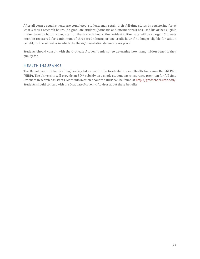After all course requirements are completed, students may retain their full-time status by registering for at least 3 thesis research hours. If a graduate student (domestic and international) has used his or her eligible tuition benefits but must register for thesis credit hours, the resident tuition rate will be charged. Students must be registered for a minimum of three credit hours, or one credit hour if no longer eligible for tuition benefit, for the semester in which the thesis/dissertation defense takes place.

Students should consult with the Graduate Academic Advisor to determine how many tuition benefits they qualify for.

### HEALTH INSURANCE

The Department of Chemical Engineering takes part in the Graduate Student Health Insurance Benefit Plan (HIBP). The University will provide an 80% subsidy on a single student basic insurance premium for full time Graduate Research Assistants. More information about the HIBP can be found a[t http://gradschool.utah.edu/.](http://gradschool.utah.edu/) Students should consult with the Graduate Academic Advisor about these benefits.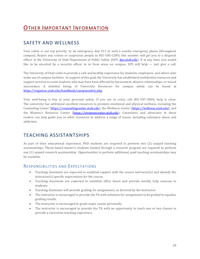# OTHER IMPORTANT INFORMATION

### SAFETY AND WELLNESS

Your safety is our top priority. In an emergency, dial 911 or seek a nearby emergency phone (throughout campus). Report any crimes or suspicious people to 801-585-COPS; this number will get you to a dispatch officer at the University of Utah Department of Public Safety (DPS; [dps.utah.edu\)](http://dps.utah.edu/). If at any time, you would like to be escorted by a security officer to or from areas on campus, DPS will help — just give a call.

The University of Utah seeks to provide a safe and healthy experience for students, employees, and others who make use of campus facilities. In support of this goal, the University has established confidential resources and support services to assist students who may have been affected by harassment, abusive relationships, or sexual misconduct. A detailed listing of University Resources for campus safety can be found at <https://registrar.utah.edu/handbook/campussafety.php>

Your well-being is key to your personal safety. If you are in crisis, call 801-587-3000; help is close. The university has additional excellent resources to promote emotional and physical wellness, including the Counseling Center [\(https://counselingcenter.utah.edu\)](https://counselingcenter.utah.edu/), the Wellness Center [\(https://wellness.utah.edu\)](https://wellness.utah.edu/), and the Women's Resource Center [\(https://womenscenter.utah.edu\)](https://womenscenter.utah.edu/). Counselors and advocates in these centers can help guide you to other resources to address a range of issues, including substance abuse and addiction.

### TEACHING ASSISTANTSHIPS

As part of their educational experience, PhD students are required to perform two (2) unpaid teaching assistantships. Thesis-based master's students funded through a research program are required to perform one (1) unpaid research assistantship. Opportunities to perform additional, paid teaching assistantships may be available.

### RESPONSIBILITIES AND EXPECTATIONS

- Teaching Assistants are expected to establish rapport with the course instructor(s) and identify the instructor(s) specific expectations for the course.
- Teaching Assistants are expected to establish office hours and provide weekly help sessions to students.
- Teaching Assistants will provide grading for assignments, as directed by the instructor.
- The instructor is encouraged to provide the TA with solutions for assignments to be graded to equalize grading results.
- The instructor is encouraged to grade major exams personally.
- The instructor is encouraged to provide the TA with an opportunity to teach one or two classes to provide a classroom teaching experience.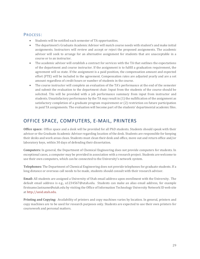### PROCESS:

- Students will be notified each semester of TA opportunities.
- The department's Graduate Academic Advisor will match course needs with student's and make initial assignments. Instructors will review and accept or reject the proposed assignments. The academic advisor will seek to arrange for an alternative assignment for students that are unacceptable in a course or to an instructor.
- The academic advisor will establish a contract for services with the TA that outlines the expectations of the department and course instructor. If the assignment is to fulfill a graduation requirement, the agreement will so state. If the assignment is a paid position, the compensation amount and expected effort (FTE) will be included in the agreement. Compensation rates are adjusted yearly and are a set amount regardless of credit hours or number of students in the course.
- The course instructor will complete an evaluation of the TA's performance at the end of the semester and submit the evaluation to the department chair. Input from the students of the course should be solicited. TAs will be provided with a job performance summary from input from instructor and students. Unsatisfactory performance by the TA may result in (1) the nullification of the assignment as satisfactory completion of a graduate program requirement or (2) restriction on future participation in paid TA assignments. The evaluation will become part of the students' departmental academic files.

### OFFICE SPACE, COMPUTERS, E-MAIL, PRINTERS

**Office space:** Office space and a desk will be provided for all PhD students. Students should speak with their advisor or the Graduate Academic Advisor regarding location of the desk. Students are responsible for keeping their desks and work areas clean. Students must clean their desk and office, move out and return office and/or laboratory keys, within 30 days of defending their dissertation.

**Computers:** In general, the Department of Chemical Engineering does not provide computers for students. In exceptional cases, a computer may be provided in association with a research project. Students are welcome to use their own computers, which can be connected to the University's network system.

**Telephones:** The Department of Chemical Engineering does not provide telephones for graduate students. If a long distance or overseas call needs to be made, students should consult with their research advisor.

**Email:** All students are assigned a University of Utah email address upon enrollment with the University. The default email address is e.g., u1234567@utah.edu. Students can make an alias email address, for example firstname.lastname@utah.edu by visiting the Office of Information Technology University Network ID web site a[t http://unid.utah.edu.](http://unid.utah.edu/)

**Printing and Copying:** Availability of printers and copy machines varies by location. In general, printers and copy machines are to be used for research purposes only. Students are expected to use their own printers for coursework and personal matters.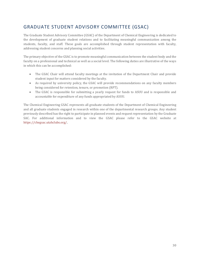### GRADUATE STUDENT ADVISORY COMMITTEE (GSAC)

The Graduate Student Advisory Committee (GSAC) of the Department of Chemical Engineering is dedicated to the development of graduate student relations and to facilitating meaningful communication among the students, faculty, and staff. These goals are accomplished through student representation with faculty, addressing student concerns and planning social activities.

The primary objective of the GSAC is to promote meaningful communication between the student body and the faculty on a professional and technical as well as a social level. The following duties are illustrative of the ways in which this can be accomplished:

- The GSAC Chair will attend faculty meetings at the invitation of the Department Chair and provide student input for matters considered by the faculty.
- As required by university policy, the GSAC will provide recommendations on any faculty members being considered for retention, tenure, or promotion (RPT).
- The GSAC is responsible for submitting a yearly request for funds to ASUU and is responsible and accountable for expenditure of any funds appropriated by ASUU.

The Chemical Engineering GSAC represents all graduate students of the Department of Chemical Engineering and all graduate students engaged in research within one of the departmental research groups. Any student previously described has the right to participate in planned events and request representation by the Graduate SAC. For additional information and to view the GSAC please refer to the GSAC website at https://chegsac.utahclubs.org/.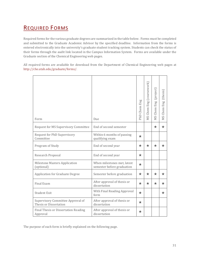# <span id="page-32-0"></span>REQUIRED FORMS

Required forms for the various graduate degrees are summarized in the table below. Forms must be completed and submitted to the Graduate Academic Advisor by the specified deadline. Information from the forms is entered electronically into the university's graduate student tracking system. Students can check the status of their forms through the audit link located in the Campus Information System. Forms are available under the Graduate section of the Chemical Engineering web pages.

All required forms are available for download from the Department of Chemical Engineering web pages at http://che.utah.edu/graduate/forms/.

| Form                                                        | Due                                                       | PhD Chem Eng | MS Chem Eng (coursework) | MS Chem Eng (project) | MS Chem Eng (thesis) |
|-------------------------------------------------------------|-----------------------------------------------------------|--------------|--------------------------|-----------------------|----------------------|
| Request for MS Supervisory Committee                        | End of second semester                                    |              |                          | ★                     | ★                    |
| Request for PhD Supervisory<br>Committee                    | Within 6 months of passing<br>qualifying exam             | $\star$      |                          |                       |                      |
| Program of Study                                            | End of second year                                        | $\star$      | $\star$                  | $\star$               | $\star$              |
| Research Proposal                                           | End of second year                                        | $\star$      |                          |                       |                      |
| <b>Milestone Masters Application</b><br>(optional)          | When milestones met, latest<br>semester before graduation | $\star$      |                          |                       |                      |
| <b>Application for Graduate Degree</b>                      | Semester before graduation                                | ★            | ★                        | ★                     | $\star$              |
| Final Exam                                                  | After approval of thesis or<br>dissertation               | $\star$      | $\star$                  | $\star$               | $\star$              |
| <b>Student Exit</b>                                         | With Final Reading Approval<br>form                       | $\star$      |                          |                       | $\star$              |
| Supervisory Committee Approval of<br>Thesis or Dissertation | After approval of thesis or<br>dissertation               | $\star$      |                          |                       |                      |
| Final Thesis or Dissertation Reading<br>Approval            | After approval of thesis or<br>dissertation               | $\star$      |                          |                       |                      |

The purpose of each form is briefly explained on the following page.